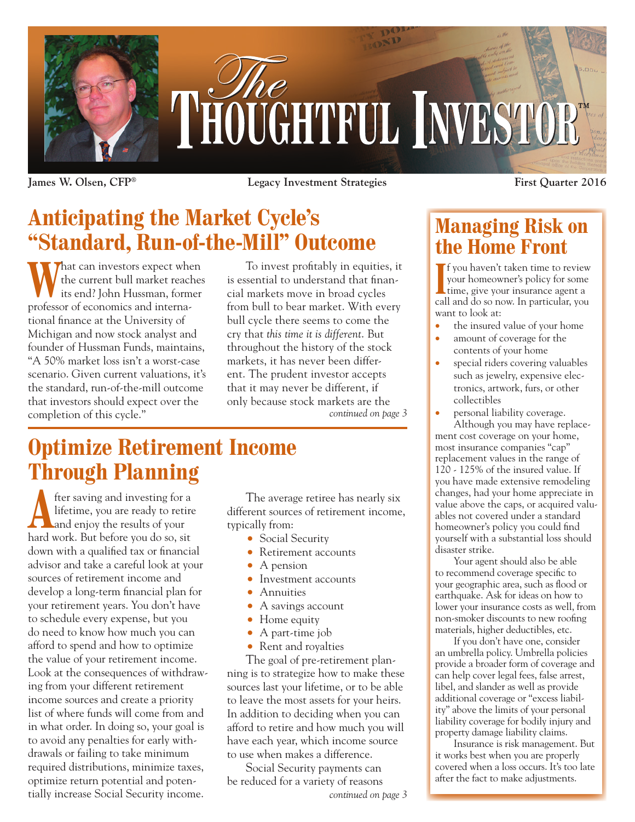

**James W. Olsen, CFP® Legacy Investment Strategies First Quarter 2016**

# **Anticipating the Market Cycle's "Standard, Run-of-the-Mill" Outcome**

**That can investors expect when** the current bull market reaches its end? John Hussman, former professor of economics and international finance at the University of Michigan and now stock analyst and founder of Hussman Funds, maintains, "A 50% market loss isn't a worst-case scenario. Given current valuations, it's the standard, run-of-the-mill outcome that investors should expect over the completion of this cycle."

*continued on page 3* To invest profitably in equities, it is essential to understand that financial markets move in broad cycles from bull to bear market. With every bull cycle there seems to come the cry that *this time it is different*. But throughout the history of the stock markets, it has never been different. The prudent investor accepts that it may never be different, if only because stock markets are the

## **Optimize Retirement Income Through Planning**

**A** fter saving and investing for a lifetime, you are ready to retire and enjoy the results of your lifetime, you are ready to retire and enjoy the results of your hard work. But before you do so, sit down with a qualified tax or financial advisor and take a careful look at your sources of retirement income and develop a long-term financial plan for your retirement years. You don't have to schedule every expense, but you do need to know how much you can afford to spend and how to optimize the value of your retirement income. Look at the consequences of withdrawing from your different retirement income sources and create a priority list of where funds will come from and in what order. In doing so, your goal is to avoid any penalties for early withdrawals or failing to take minimum required distributions, minimize taxes, optimize return potential and potentially increase Social Security income.

The average retiree has nearly six different sources of retirement income, typically from:

- Social Security
- Retirement accounts
- A pension
- Investment accounts
- Annuities
- A savings account
- Home equity
- A part-time job
- Rent and royalties

The goal of pre-retirement planning is to strategize how to make these sources last your lifetime, or to be able to leave the most assets for your heirs. In addition to deciding when you can afford to retire and how much you will have each year, which income source to use when makes a difference.

Social Security payments can be reduced for a variety of reasons *continued on page 3*

## **Managing Risk on the Home Front**

I you haven t taken time to review<br>
your homeowner's policy for some<br>
time, give your insurance agent a<br>
call and do so now. In particular, you f you haven't taken time to review your homeowner's policy for some time, give your insurance agent a want to look at:

- the insured value of your home
- amount of coverage for the contents of your home
- special riders covering valuables such as jewelry, expensive electronics, artwork, furs, or other collectibles
- personal liability coverage. Although you may have replacement cost coverage on your home, most insurance companies "cap" replacement values in the range of  $120 - 125\%$  of the insured value. If you have made extensive remodeling changes, had your home appreciate in value above the caps, or acquired valuables not covered under a standard homeowner's policy you could find yourself with a substantial loss should disaster strike.

Your agent should also be able to recommend coverage specific to your geographic area, such as flood or earthquake. Ask for ideas on how to lower your insurance costs as well, from non-smoker discounts to new roofing materials, higher deductibles, etc.

If you don't have one, consider an umbrella policy. Umbrella policies provide a broader form of coverage and can help cover legal fees, false arrest, libel, and slander as well as provide additional coverage or "excess liability" above the limits of your personal liability coverage for bodily injury and property damage liability claims.

Insurance is risk management. But it works best when you are properly covered when a loss occurs. It's too late after the fact to make adjustments.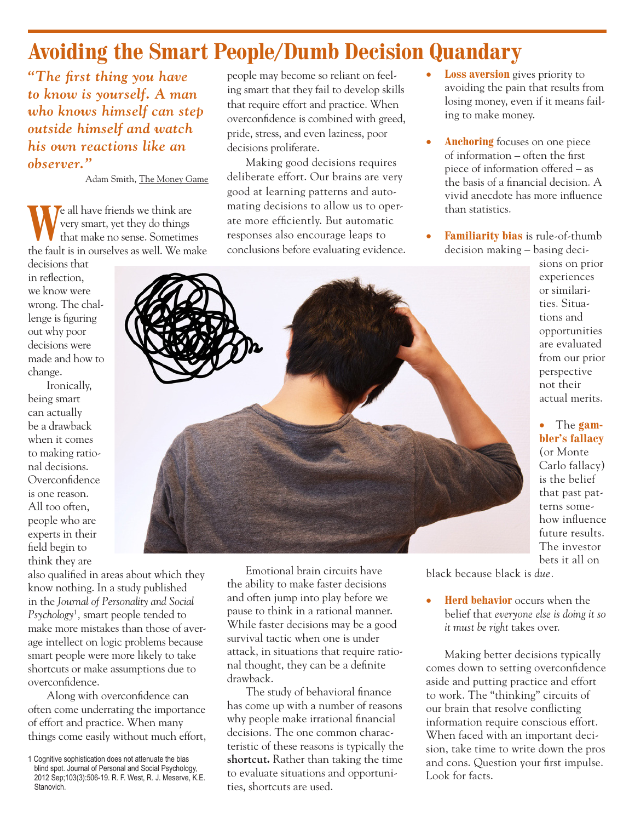# **Avoiding the Smart People/Dumb Decision Quandary**

*"The first thing you have to know is yourself. A man who knows himself can step outside himself and watch his own reactions like an observer."*

Adam Smith, The Money Game

We all have friends we think are<br>that make no sense. Sometime very smart, yet they do things that make no sense. Sometimes the fault is in ourselves as well. We make

decisions that in reflection, we know were wrong. The challenge is figuring out why poor decisions were made and how to change.

Ironically, being smart can actually be a drawback when it comes to making rational decisions. Overconfidence is one reason. All too often, people who are experts in their field begin to think they are

also qualified in areas about which they know nothing. In a study published in the *Journal of Personality and Social Psychology*<sup>1</sup> *,* smart people tended to make more mistakes than those of average intellect on logic problems because smart people were more likely to take shortcuts or make assumptions due to overconfidence.

Along with overconfidence can often come underrating the importance of effort and practice. When many things come easily without much effort,

people may become so reliant on feeling smart that they fail to develop skills that require effort and practice. When overconfidence is combined with greed, pride, stress, and even laziness, poor decisions proliferate.

Making good decisions requires deliberate effort. Our brains are very good at learning patterns and automating decisions to allow us to operate more efficiently. But automatic responses also encourage leaps to conclusions before evaluating evidence.

- **Loss aversion** gives priority to avoiding the pain that results from losing money, even if it means failing to make money.
- **Anchoring** focuses on one piece of information – often the first piece of information offered – as the basis of a financial decision. A vivid anecdote has more influence than statistics.
- **Familiarity bias** is rule-of-thumb decision making – basing deci-

sions on prior experiences or similarities. Situations and opportunities are evaluated from our prior perspective not their actual merits.

#### • The **gambler's fallacy**

(or Monte Carlo fallacy) is the belief that past patterns somehow influence future results. The investor bets it all on

Emotional brain circuits have the ability to make faster decisions and often jump into play before we pause to think in a rational manner. While faster decisions may be a good survival tactic when one is under attack, in situations that require rational thought, they can be a definite drawback.

The study of behavioral finance has come up with a number of reasons why people make irrational financial decisions. The one common characteristic of these reasons is typically the **shortcut.** Rather than taking the time to evaluate situations and opportunities, shortcuts are used.

black because black is *due.*

**Herd behavior** occurs when the belief that *everyone else is doing it so it must be right* takes over.

Making better decisions typically comes down to setting overconfidence aside and putting practice and effort to work. The "thinking" circuits of our brain that resolve conflicting information require conscious effort. When faced with an important decision, take time to write down the pros and cons. Question your first impulse. Look for facts.

<sup>1</sup> Cognitive sophistication does not attenuate the bias blind spot. Journal of Personal and Social Psychology, 2012 Sep;103(3):506-19. R. F. West, R. J. Meserve, K.E. Stanovich.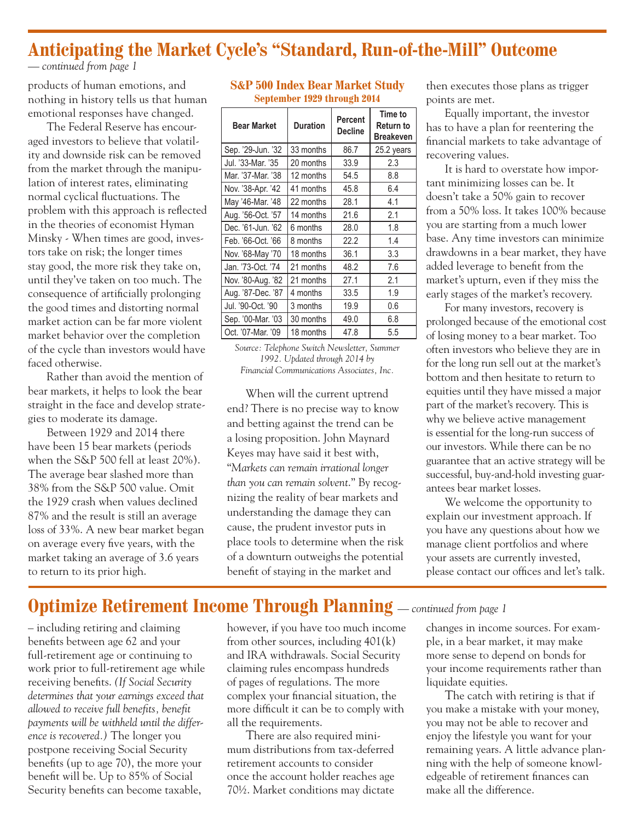### **Anticipating the Market Cycle's "Standard, Run-of-the-Mill" Outcome**

*— continued from page 1*

products of human emotions, and nothing in history tells us that human emotional responses have changed.

The Federal Reserve has encouraged investors to believe that volatility and downside risk can be removed from the market through the manipulation of interest rates, eliminating normal cyclical fluctuations. The problem with this approach is reflected in the theories of economist Hyman Minsky - When times are good, investors take on risk; the longer times stay good, the more risk they take on, until they've taken on too much. The consequence of artificially prolonging the good times and distorting normal market action can be far more violent market behavior over the completion of the cycle than investors would have faced otherwise.

Rather than avoid the mention of bear markets, it helps to look the bear straight in the face and develop strategies to moderate its damage.

Between 1929 and 2014 there have been 15 bear markets (periods when the S&P 500 fell at least 20%). The average bear slashed more than 38% from the S&P 500 value. Omit the 1929 crash when values declined 87% and the result is still an average loss of 33%. A new bear market began on average every five years, with the market taking an average of 3.6 years to return to its prior high.

#### **S&P 500 Index Bear Market Study September 1929 through 2014**

| <b>Bear Market</b> | <b>Duration</b> | <b>Percent</b><br><b>Decline</b> | Time to<br>Return to<br><b>Breakeven</b> |
|--------------------|-----------------|----------------------------------|------------------------------------------|
| Sep. '29-Jun. '32  | 33 months       | 86.7                             | 25.2 years                               |
| Jul. '33-Mar. '35  | 20 months       | 33.9                             | 2.3                                      |
| Mar. '37-Mar. '38  | 12 months       | 54.5                             | 8.8                                      |
| Nov. '38-Apr. '42  | 41 months       | 45.8                             | 6.4                                      |
| May '46-Mar. '48   | 22 months       | 28.1                             | 4.1                                      |
| Aug. '56-Oct. '57  | 14 months       | 21.6                             | 2.1                                      |
| Dec. '61-Jun. '62  | 6 months        | 28.0                             | 1.8                                      |
| Feb. '66-Oct. '66  | 8 months        | 22.2                             | 1.4                                      |
| Nov. '68-May '70   | 18 months       | 36.1                             | 3.3                                      |
| Jan. '73-Oct. '74  | 21 months       | 48.2                             | 7.6                                      |
| Nov. '80-Aug. '82  | 21 months       | 27.1                             | 2.1                                      |
| Aug. '87-Dec. '87  | 4 months        | 33.5                             | 1.9                                      |
| Jul. '90-Oct. '90  | 3 months        | 19.9                             | 0.6                                      |
| Sep. '00-Mar. '03  | 30 months       | 49.0                             | 6.8                                      |
| Oct. '07-Mar. '09  | 18 months       | 47.8                             | 5.5                                      |

*Source: Telephone Switch Newsletter, Summer 1992. Updated through 2014 by Financial Communications Associates, Inc.*

When will the current uptrend end? There is no precise way to know and betting against the trend can be a losing proposition. John Maynard Keyes may have said it best with, "*Markets can remain irrational longer than you can remain solvent*." By recognizing the reality of bear markets and understanding the damage they can cause, the prudent investor puts in place tools to determine when the risk of a downturn outweighs the potential benefit of staying in the market and

then executes those plans as trigger points are met.

Equally important, the investor has to have a plan for reentering the financial markets to take advantage of recovering values.

It is hard to overstate how important minimizing losses can be. It doesn't take a 50% gain to recover from a 50% loss. It takes 100% because you are starting from a much lower base. Any time investors can minimize drawdowns in a bear market, they have added leverage to benefit from the market's upturn, even if they miss the early stages of the market's recovery.

For many investors, recovery is prolonged because of the emotional cost of losing money to a bear market. Too often investors who believe they are in for the long run sell out at the market's bottom and then hesitate to return to equities until they have missed a major part of the market's recovery. This is why we believe active management is essential for the long-run success of our investors. While there can be no guarantee that an active strategy will be successful, buy-and-hold investing guarantees bear market losses.

We welcome the opportunity to explain our investment approach. If you have any questions about how we manage client portfolios and where your assets are currently invested, please contact our offices and let's talk.

## **Optimize Retirement Income Through Planning** *— continued from page 1*

– including retiring and claiming benefits between age 62 and your full-retirement age or continuing to work prior to full-retirement age while receiving benefits. *(If Social Security determines that your earnings exceed that allowed to receive full benefits, benefit payments will be withheld until the difference is recovered.)* The longer you postpone receiving Social Security benefits (up to age 70), the more your benefit will be. Up to 85% of Social Security benefits can become taxable,

however, if you have too much income from other sources, including 401(k) and IRA withdrawals. Social Security claiming rules encompass hundreds of pages of regulations. The more complex your financial situation, the more difficult it can be to comply with all the requirements.

There are also required minimum distributions from tax-deferred retirement accounts to consider once the account holder reaches age 70½. Market conditions may dictate changes in income sources. For example, in a bear market, it may make more sense to depend on bonds for your income requirements rather than liquidate equities.

The catch with retiring is that if you make a mistake with your money, you may not be able to recover and enjoy the lifestyle you want for your remaining years. A little advance planning with the help of someone knowledgeable of retirement finances can make all the difference.